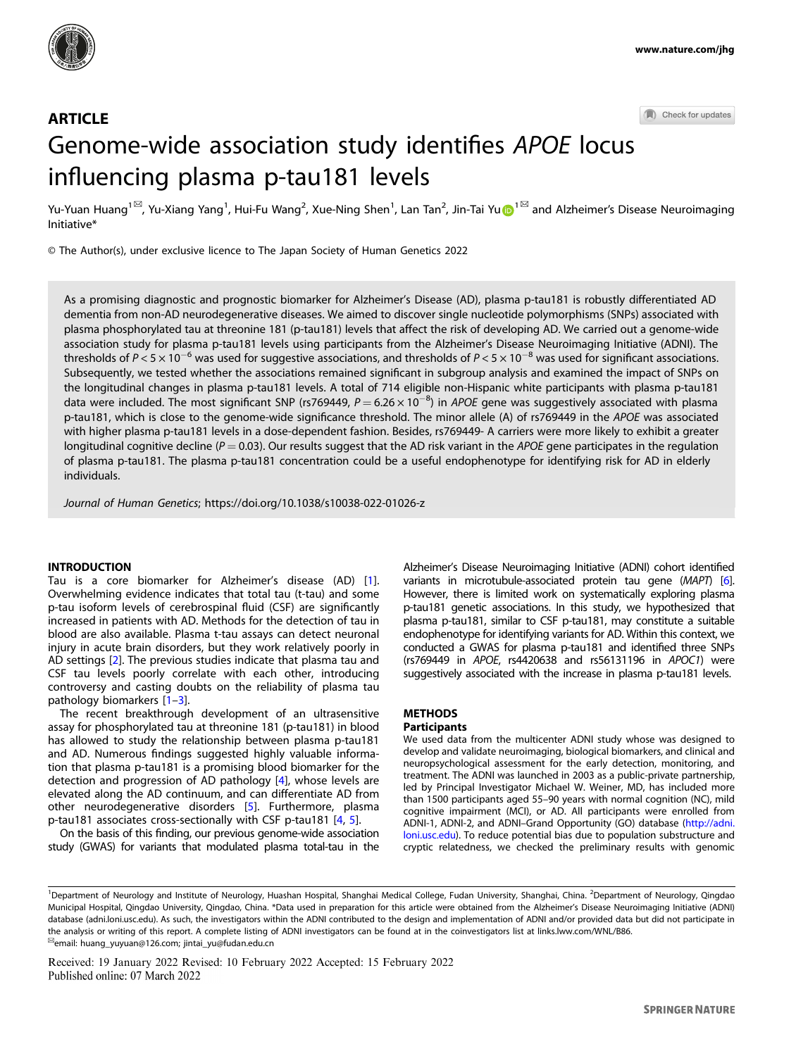

Check for updates

# **ARTICLE** Genome-wide association study identifies APOE locus influencing plasma p-tau181 levels

Yu-Yuan Huang<sup>[1](http://orcid.org/0000-0002-2532-383X)⊠</sup>, Yu-Xiang Yang<sup>1</sup>, Hui-Fu Wang<sup>2</sup>, Xue-Ning Shen<sup>1</sup>, Lan Tan<sup>2</sup>, Jin-Tai Yu⋒<sup>1⊠</sup> and Alzheimer's Disease Neuroimaging Initiative\*

© The Author(s), under exclusive licence to The Japan Society of Human Genetics 2022

As a promising diagnostic and prognostic biomarker for Alzheimer's Disease (AD), plasma p-tau181 is robustly differentiated AD dementia from non-AD neurodegenerative diseases. We aimed to discover single nucleotide polymorphisms (SNPs) associated with plasma phosphorylated tau at threonine 181 (p-tau181) levels that affect the risk of developing AD. We carried out a genome-wide association study for plasma p-tau181 levels using participants from the Alzheimer's Disease Neuroimaging Initiative (ADNI). The thresholds of  $P < 5 \times 10^{-6}$  was used for suggestive associations, and thresholds of  $P < 5 \times 10^{-8}$  was used for significant associations. Subsequently, we tested whether the associations remained significant in subgroup analysis and examined the impact of SNPs on the longitudinal changes in plasma p-tau181 levels. A total of 714 eligible non-Hispanic white participants with plasma p-tau181 data were included. The most significant SNP (rs769449,  $P = 6.26 \times 10^{-8}$ ) in APOE gene was suggestively associated with plasma p-tau181, which is close to the genome-wide significance threshold. The minor allele (A) of rs769449 in the APOE was associated with higher plasma p-tau181 levels in a dose-dependent fashion. Besides, rs769449- A carriers were more likely to exhibit a greater longitudinal cognitive decline ( $P = 0.03$ ). Our results suggest that the AD risk variant in the APOE gene participates in the regulation of plasma p-tau181. The plasma p-tau181 concentration could be a useful endophenotype for identifying risk for AD in elderly individuals.

Journal of Human Genetics;<https://doi.org/10.1038/s10038-022-01026-z>

## **INTRODUCTION**

Tau is a core biomarker for Alzheimer's disease (AD) [\[1\]](#page-4-0). Overwhelming evidence indicates that total tau (t-tau) and some p-tau isoform levels of cerebrospinal fluid (CSF) are significantly increased in patients with AD. Methods for the detection of tau in blood are also available. Plasma t-tau assays can detect neuronal injury in acute brain disorders, but they work relatively poorly in AD settings [\[2\]](#page-4-0). The previous studies indicate that plasma tau and CSF tau levels poorly correlate with each other, introducing controversy and casting doubts on the reliability of plasma tau pathology biomarkers [\[1](#page-4-0)–[3\]](#page-4-0).

The recent breakthrough development of an ultrasensitive assay for phosphorylated tau at threonine 181 (p-tau181) in blood has allowed to study the relationship between plasma p-tau181 and AD. Numerous findings suggested highly valuable information that plasma p-tau181 is a promising blood biomarker for the detection and progression of AD pathology [[4](#page-4-0)], whose levels are elevated along the AD continuum, and can differentiate AD from other neurodegenerative disorders [\[5\]](#page-4-0). Furthermore, plasma p-tau181 associates cross-sectionally with CSF p-tau181 [\[4,](#page-4-0) [5](#page-4-0)].

On the basis of this finding, our previous genome-wide association study (GWAS) for variants that modulated plasma total-tau in the Alzheimer's Disease Neuroimaging Initiative (ADNI) cohort identified variants in microtubule-associated protein tau gene (MAPT) [[6\]](#page-4-0). However, there is limited work on systematically exploring plasma p-tau181 genetic associations. In this study, we hypothesized that plasma p-tau181, similar to CSF p-tau181, may constitute a suitable endophenotype for identifying variants for AD. Within this context, we conducted a GWAS for plasma p-tau181 and identified three SNPs (rs769449 in APOE, rs4420638 and rs56131196 in APOC1) were suggestively associated with the increase in plasma p-tau181 levels.

## METHODS

## **Participants**

We used data from the multicenter ADNI study whose was designed to develop and validate neuroimaging, biological biomarkers, and clinical and neuropsychological assessment for the early detection, monitoring, and treatment. The ADNI was launched in 2003 as a public-private partnership, led by Principal Investigator Michael W. Weiner, MD, has included more than 1500 participants aged 55–90 years with normal cognition (NC), mild cognitive impairment (MCI), or AD. All participants were enrolled from ADNI-1, ADNI-2, and ADNI–Grand Opportunity (GO) database [\(http://adni.](http://adni.loni.usc.edu) [loni.usc.edu](http://adni.loni.usc.edu)). To reduce potential bias due to population substructure and cryptic relatedness, we checked the preliminary results with genomic

Received: 19 January 2022 Revised: 10 February 2022 Accepted: 15 February 2022 Published online: 07 March 2022

<sup>&</sup>lt;sup>1</sup>Department of Neurology and Institute of Neurology, Huashan Hospital, Shanghai Medical College, Fudan University, Shanghai, China. <sup>2</sup>Department of Neurology, Qingdao Municipal Hospital, Qingdao University, Qingdao, China. \*Data used in preparation for this article were obtained from the Alzheimer's Disease Neuroimaging Initiative (ADNI) database (adni.loni.usc.edu). As such, the investigators within the ADNI contributed to the design and implementation of ADNI and/or provided data but did not participate in the analysis or writing of this report. A complete listing of ADNI investigators can be found at in the coinvestigators list at links.lww.com/WNL/B86.<br><sup>⊠</sup>email: [huang\\_yuyuan@126.com;](mailto:huang_yuyuan@126.com) [jintai\\_yu@fudan.edu.cn](mailto:jintai_yu@fudan.edu.cn)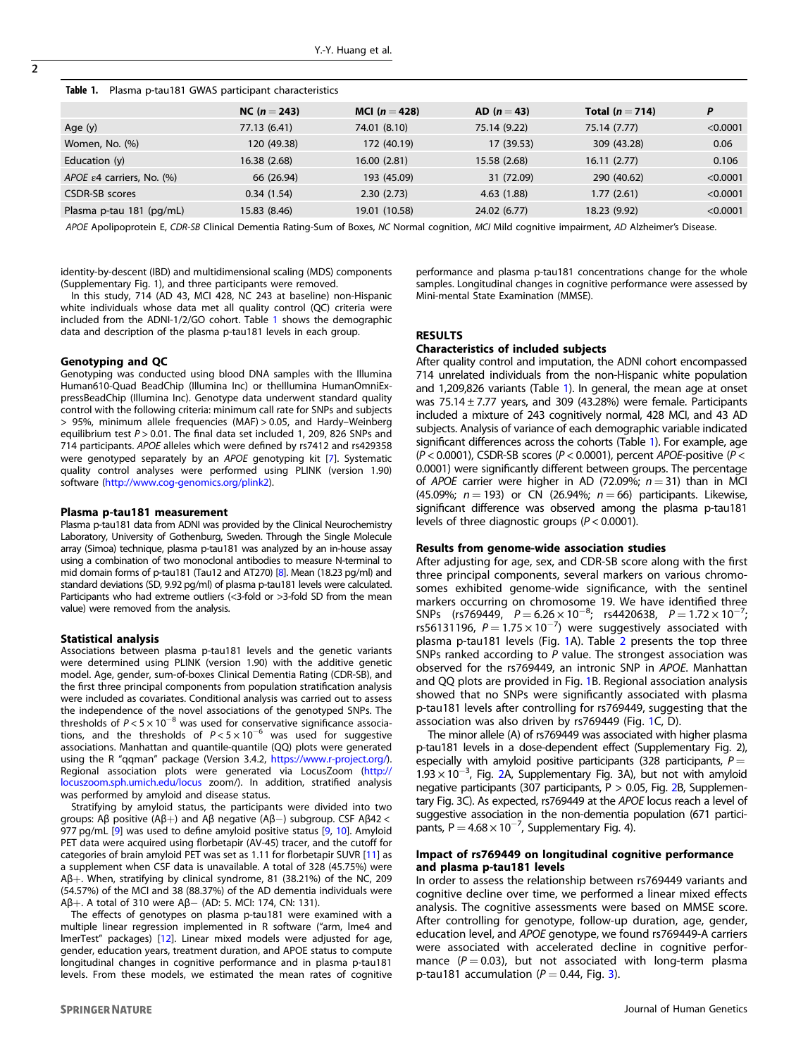| Table 1. Plasma p-tau181 GWAS participant characteristics |  |  |
|-----------------------------------------------------------|--|--|
|                                                           |  |  |

|                                     | $NC (n = 243)$ | MCI $(n = 428)$ | AD $(n = 43)$ | Total $(n=714)$ | P        |
|-------------------------------------|----------------|-----------------|---------------|-----------------|----------|
| Age $(y)$                           | 77.13 (6.41)   | 74.01 (8.10)    | 75.14 (9.22)  | 75.14 (7.77)    | < 0.0001 |
| Women, No. (%)                      | 120 (49.38)    | 172 (40.19)     | 17 (39.53)    | 309 (43.28)     | 0.06     |
| Education $(y)$                     | 16.38 (2.68)   | 16.00(2.81)     | 15.58 (2.68)  | 16.11(2.77)     | 0.106    |
| APOE $\epsilon$ 4 carriers, No. (%) | 66 (26.94)     | 193 (45.09)     | 31 (72.09)    | 290 (40.62)     | < 0.0001 |
| <b>CSDR-SB</b> scores               | 0.34(1.54)     | 2.30(2.73)      | 4.63(1.88)    | 1.77(2.61)      | < 0.0001 |
| Plasma p-tau 181 (pg/mL)            | 15.83 (8.46)   | 19.01 (10.58)   | 24.02 (6.77)  | 18.23 (9.92)    | < 0.0001 |

APOE Apolipoprotein E, CDR-SB Clinical Dementia Rating-Sum of Boxes, NC Normal cognition, MCI Mild cognitive impairment, AD Alzheimer's Disease.

identity-by-descent (IBD) and multidimensional scaling (MDS) components (Supplementary Fig. 1), and three participants were removed.

In this study, 714 (AD 43, MCI 428, NC 243 at baseline) non-Hispanic white individuals whose data met all quality control (QC) criteria were included from the ADNI-1/2/GO cohort. Table 1 shows the demographic data and description of the plasma p-tau181 levels in each group.

#### Genotyping and QC

Genotyping was conducted using blood DNA samples with the Illumina Human610-Quad BeadChip (Illumina Inc) or theIllumina HumanOmniExpressBeadChip (Illumina Inc). Genotype data underwent standard quality control with the following criteria: minimum call rate for SNPs and subjects > 95%, minimum allele frequencies (MAF) > 0.05, and Hardy–Weinberg equilibrium test  $P > 0.01$ . The final data set included 1, 209, 826 SNPs and 714 participants. APOE alleles which were defined by rs7412 and rs429358 were genotyped separately by an APOE genotyping kit [[7\]](#page-4-0). Systematic quality control analyses were performed using PLINK (version 1.90) software (<http://www.cog-genomics.org/plink2>).

#### Plasma p-tau181 measurement

Plasma p-tau181 data from ADNI was provided by the Clinical Neurochemistry Laboratory, University of Gothenburg, Sweden. Through the Single Molecule array (Simoa) technique, plasma p-tau181 was analyzed by an in-house assay using a combination of two monoclonal antibodies to measure N-terminal to mid domain forms of p-tau181 (Tau12 and AT270) [\[8](#page-4-0)]. Mean (18.23 pg/ml) and standard deviations (SD, 9.92 pg/ml) of plasma p-tau181 levels were calculated. Participants who had extreme outliers (<3-fold or >3-fold SD from the mean value) were removed from the analysis.

#### Statistical analysis

Associations between plasma p-tau181 levels and the genetic variants were determined using PLINK (version 1.90) with the additive genetic model. Age, gender, sum-of-boxes Clinical Dementia Rating (CDR-SB), and the first three principal components from population stratification analysis were included as covariates. Conditional analysis was carried out to assess the independence of the novel associations of the genotyped SNPs. The thresholds of  $P < 5 \times 10^{-8}$  was used for conservative significance associations, and the thresholds of  $P < 5 \times 10^{-6}$  was used for suggestive associations. Manhattan and quantile-quantile (QQ) plots were generated using the R "qqman" package (Version 3.4.2, [https://www.r-project.org/\)](https://www.r-project.org/). Regional association plots were generated via LocusZoom ([http://](http://locuszoom.sph.umich.edu/locus) [locuszoom.sph.umich.edu/locus](http://locuszoom.sph.umich.edu/locus) zoom/). In addition, stratified analysis was performed by amyloid and disease status.

Stratifying by amyloid status, the participants were divided into two groups: Aβ positive (Aβ+) and Aβ negative (Aβ−) subgroup. CSF Aβ42 < 977 pg/mL [[9\]](#page-4-0) was used to define amyloid positive status [\[9](#page-4-0), [10](#page-4-0)]. Amyloid PET data were acquired using florbetapir (AV-45) tracer, and the cutoff for categories of brain amyloid PET was set as 1.11 for florbetapir SUVR [[11](#page-4-0)] as a supplement when CSF data is unavailable. A total of 328 (45.75%) were Aβ+. When, stratifying by clinical syndrome, 81 (38.21%) of the NC, 209 (54.57%) of the MCI and 38 (88.37%) of the AD dementia individuals were Aβ+. A total of 310 were Aβ− (AD: 5. MCI: 174, CN: 131).

The effects of genotypes on plasma p-tau181 were examined with a multiple linear regression implemented in R software ("arm, lme4 and lmerTest" packages) [\[12](#page-4-0)]. Linear mixed models were adjusted for age, gender, education years, treatment duration, and APOE status to compute longitudinal changes in cognitive performance and in plasma p-tau181 levels. From these models, we estimated the mean rates of cognitive performance and plasma p-tau181 concentrations change for the whole samples. Longitudinal changes in cognitive performance were assessed by Mini-mental State Examination (MMSE).

# RESULTS

## Characteristics of included subjects

After quality control and imputation, the ADNI cohort encompassed 714 unrelated individuals from the non-Hispanic white population and 1,209,826 variants (Table 1). In general, the mean age at onset was  $75.14 \pm 7.77$  years, and 309 (43.28%) were female. Participants included a mixture of 243 cognitively normal, 428 MCI, and 43 AD subjects. Analysis of variance of each demographic variable indicated significant differences across the cohorts (Table 1). For example, age ( $P$  < 0.0001), CSDR-SB scores ( $P$  < 0.0001), percent APOE-positive ( $P$  < 0.0001) were significantly different between groups. The percentage of APOE carrier were higher in AD (72.09%;  $n = 31$ ) than in MCI (45.09%;  $n = 193$ ) or CN (26.94%;  $n = 66$ ) participants. Likewise, significant difference was observed among the plasma p-tau181 levels of three diagnostic groups ( $P < 0.0001$ ).

#### Results from genome-wide association studies

After adjusting for age, sex, and CDR-SB score along with the first three principal components, several markers on various chromosomes exhibited genome-wide significance, with the sentinel markers occurring on chromosome 19. We have identified three SNPs (rs769449,  $P = 6.26 \times 10^{-8}$ ; rs4420638,  $P = 1.72 \times 10^{-7}$ ; rs56131196,  $P = 1.75 \times 10^{-7}$ ) were suggestively associated with plasma p-tau181 levels (Fig. [1A](#page-2-0)). Table [2](#page-2-0) presents the top three SNPs ranked according to  $\overline{P}$  value. The strongest association was observed for the rs769449, an intronic SNP in APOE. Manhattan and QQ plots are provided in Fig. [1B](#page-2-0). Regional association analysis showed that no SNPs were significantly associated with plasma p-tau181 levels after controlling for rs769449, suggesting that the association was also driven by rs769449 (Fig. [1C](#page-2-0), D).

The minor allele (A) of rs769449 was associated with higher plasma p-tau181 levels in a dose-dependent effect (Supplementary Fig. 2), especially with amyloid positive participants (328 participants,  $P =$ 1.93 × 10−<sup>3</sup> , Fig. [2](#page-2-0)A, Supplementary Fig. 3A), but not with amyloid negative participants (307 participants, P > 0.05, Fig. [2B](#page-2-0), Supplementary Fig. 3C). As expected, rs769449 at the APOE locus reach a level of suggestive association in the non-dementia population (671 participants, P =  $4.68 \times 10^{-7}$ , Supplementary Fig. 4).

## Impact of rs769449 on longitudinal cognitive performance and plasma p-tau181 levels

In order to assess the relationship between rs769449 variants and cognitive decline over time, we performed a linear mixed effects analysis. The cognitive assessments were based on MMSE score. After controlling for genotype, follow-up duration, age, gender, education level, and APOE genotype, we found rs769449-A carriers were associated with accelerated decline in cognitive performance  $(P = 0.03)$ , but not associated with long-term plasma p-tau181 accumulation ( $P = 0.44$ , Fig. [3\)](#page-3-0).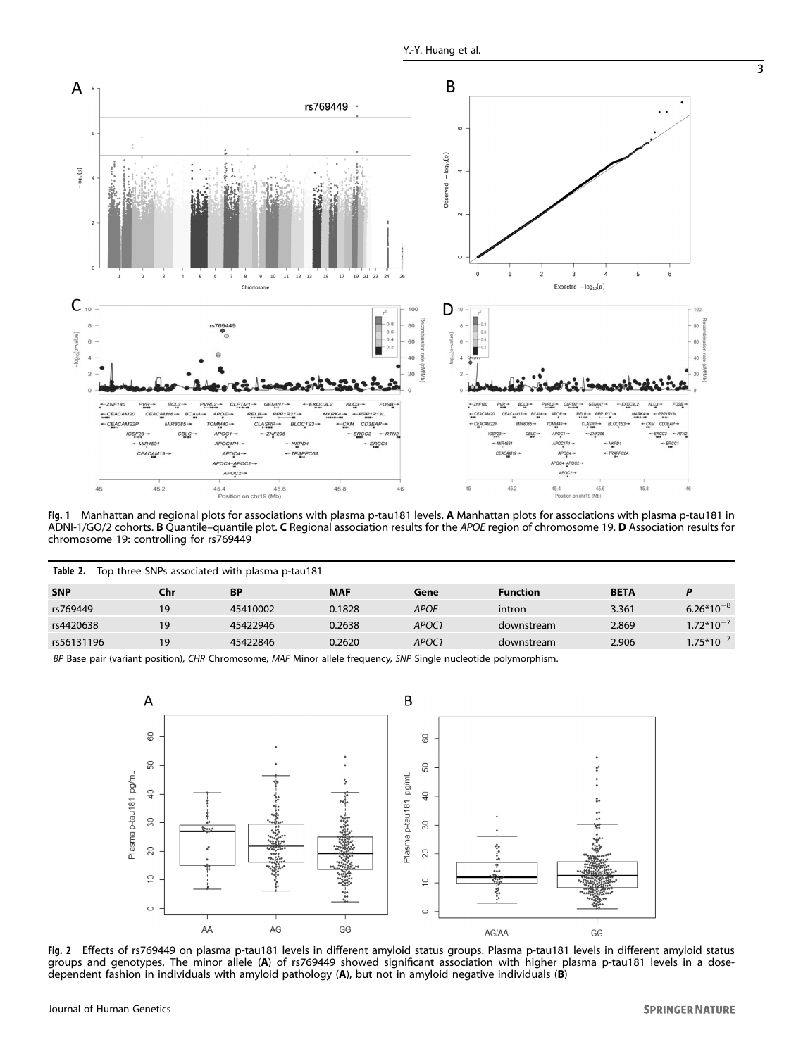<span id="page-2-0"></span>

Fig. 1 Manhattan and regional plots for associations with plasma p-tau181 levels. <sup>A</sup> Manhattan plots for associations with plasma p-tau181 in ADNI-1/GO/2 cohorts. B Quantile–quantile plot. C Regional association results for the APOE region of chromosome 19. D Association results for chromosome 19: controlling for rs769449

| Table 2.<br>Top three SNPs associated with plasma p-tau181                                                  |     |           |            |                   |                 |             |                |  |
|-------------------------------------------------------------------------------------------------------------|-----|-----------|------------|-------------------|-----------------|-------------|----------------|--|
| <b>SNP</b>                                                                                                  | Chr | <b>BP</b> | <b>MAF</b> | Gene              | <b>Function</b> | <b>BETA</b> | P              |  |
| rs769449                                                                                                    | 19  | 45410002  | 0.1828     | <b>APOE</b>       | intron          | 3.361       | $6.26*10^{-8}$ |  |
| rs4420638                                                                                                   | 19  | 45422946  | 0.2638     | APOC <sub>1</sub> | downstream      | 2.869       | $1.72*10^{-7}$ |  |
| rs56131196                                                                                                  | 19  | 45422846  | 0.2620     | APOC <sub>1</sub> | downstream      | 2.906       | $1.75*10^{-7}$ |  |
| PD Base pair (usiant position) CHD Chromosome MAE Miner allele frequency SND Single purlectide polymorphism |     |           |            |                   |                 |             |                |  |

pair (variant position), CHR Chromosome, MAF Minor allele frequency, SNP Single nucleotide polymorphism.



**Fig. 2** Effects of rs769449 on plasma p-tau181 levels in different amyloid status groups. Plasma p-tau181 levels in different amyloid status<br>groups and genotypes. The minor allele (**A**) of rs769449 showed significant asso dependent fashion in individuals with amyloid pathology (A), but not in amyloid negative individuals (B)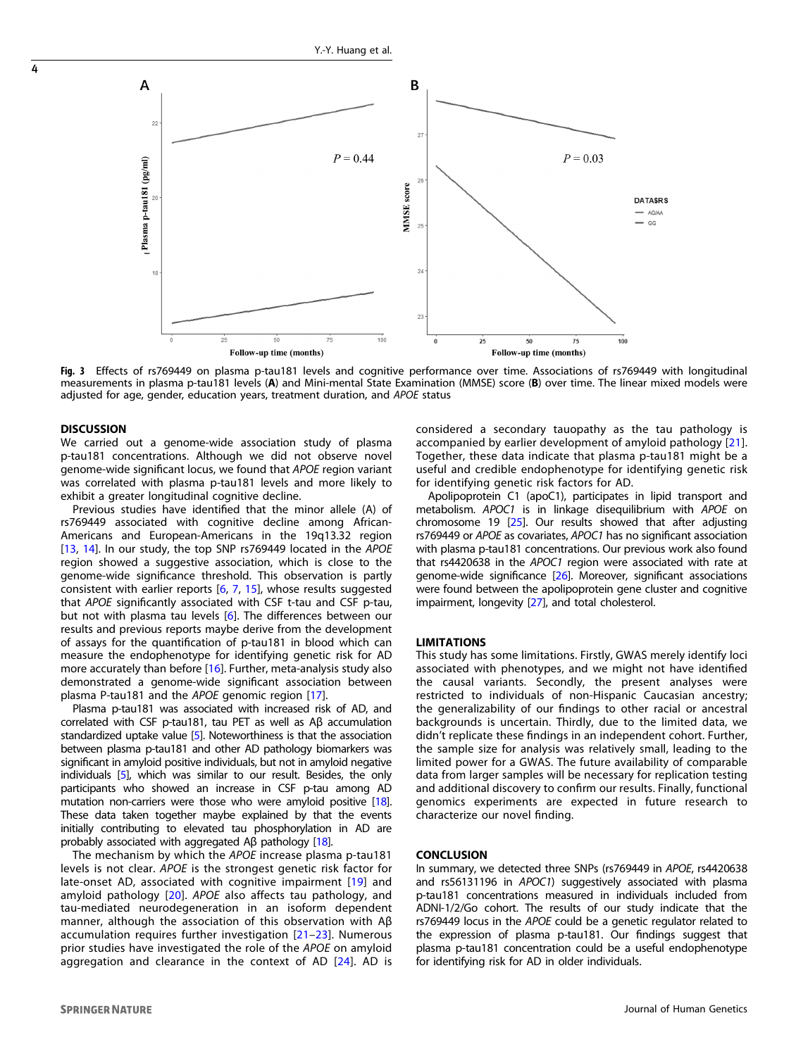

Fig. 3 Effects of rs769449 on plasma p-tau181 levels and cognitive performance over time. Associations of rs769449 with longitudinal measurements in plasma p-tau181 levels (A) and Mini-mental State Examination (MMSE) score (B) over time. The linear mixed models were adjusted for age, gender, education years, treatment duration, and APOE status

## **DISCUSSION**

<span id="page-3-0"></span>4

We carried out a genome-wide association study of plasma p-tau181 concentrations. Although we did not observe novel genome-wide significant locus, we found that APOE region variant was correlated with plasma p-tau181 levels and more likely to exhibit a greater longitudinal cognitive decline.

Previous studies have identified that the minor allele (A) of rs769449 associated with cognitive decline among African-Americans and European-Americans in the 19q13.32 region [[13,](#page-4-0) [14](#page-4-0)]. In our study, the top SNP rs769449 located in the APOE region showed a suggestive association, which is close to the genome-wide significance threshold. This observation is partly consistent with earlier reports [[6](#page-4-0), [7,](#page-4-0) [15](#page-4-0)], whose results suggested that APOE significantly associated with CSF t-tau and CSF p-tau, but not with plasma tau levels [\[6\]](#page-4-0). The differences between our results and previous reports maybe derive from the development of assays for the quantification of p-tau181 in blood which can measure the endophenotype for identifying genetic risk for AD more accurately than before [[16](#page-4-0)]. Further, meta-analysis study also demonstrated a genome-wide significant association between plasma P-tau181 and the APOE genomic region [\[17](#page-4-0)].

Plasma p-tau181 was associated with increased risk of AD, and correlated with CSF p-tau181, tau PET as well as Aβ accumulation standardized uptake value [\[5](#page-4-0)]. Noteworthiness is that the association between plasma p-tau181 and other AD pathology biomarkers was significant in amyloid positive individuals, but not in amyloid negative individuals [\[5](#page-4-0)], which was similar to our result. Besides, the only participants who showed an increase in CSF p-tau among AD mutation non-carriers were those who were amyloid positive [[18](#page-4-0)]. These data taken together maybe explained by that the events initially contributing to elevated tau phosphorylation in AD are probably associated with aggregated Aβ pathology [[18](#page-4-0)].

The mechanism by which the APOE increase plasma p-tau181 levels is not clear. APOE is the strongest genetic risk factor for late-onset AD, associated with cognitive impairment [[19](#page-4-0)] and amyloid pathology [\[20\]](#page-4-0). APOE also affects tau pathology, and tau-mediated neurodegeneration in an isoform dependent manner, although the association of this observation with Aβ accumulation requires further investigation [\[21](#page-4-0)–[23\]](#page-4-0). Numerous prior studies have investigated the role of the APOE on amyloid aggregation and clearance in the context of AD [[24](#page-4-0)]. AD is considered a secondary tauopathy as the tau pathology is accompanied by earlier development of amyloid pathology [[21\]](#page-4-0). Together, these data indicate that plasma p-tau181 might be a useful and credible endophenotype for identifying genetic risk for identifying genetic risk factors for AD.

Apolipoprotein C1 (apoC1), participates in lipid transport and metabolism. APOC1 is in linkage disequilibrium with APOE on chromosome 19 [\[25\]](#page-4-0). Our results showed that after adjusting rs769449 or APOE as covariates, APOC1 has no significant association with plasma p-tau181 concentrations. Our previous work also found that rs4420638 in the APOC1 region were associated with rate at genome-wide significance [[26\]](#page-4-0). Moreover, significant associations were found between the apolipoprotein gene cluster and cognitive impairment, longevity [\[27](#page-4-0)], and total cholesterol.

#### LIMITATIONS

This study has some limitations. Firstly, GWAS merely identify loci associated with phenotypes, and we might not have identified the causal variants. Secondly, the present analyses were restricted to individuals of non-Hispanic Caucasian ancestry; the generalizability of our findings to other racial or ancestral backgrounds is uncertain. Thirdly, due to the limited data, we didn't replicate these findings in an independent cohort. Further, the sample size for analysis was relatively small, leading to the limited power for a GWAS. The future availability of comparable data from larger samples will be necessary for replication testing and additional discovery to confirm our results. Finally, functional genomics experiments are expected in future research to characterize our novel finding.

#### **CONCLUSION**

In summary, we detected three SNPs (rs769449 in APOE, rs4420638 and rs56131196 in APOC1) suggestively associated with plasma p-tau181 concentrations measured in individuals included from ADNI-1/2/Go cohort. The results of our study indicate that the rs769449 locus in the APOE could be a genetic regulator related to the expression of plasma p-tau181. Our findings suggest that plasma p-tau181 concentration could be a useful endophenotype for identifying risk for AD in older individuals.